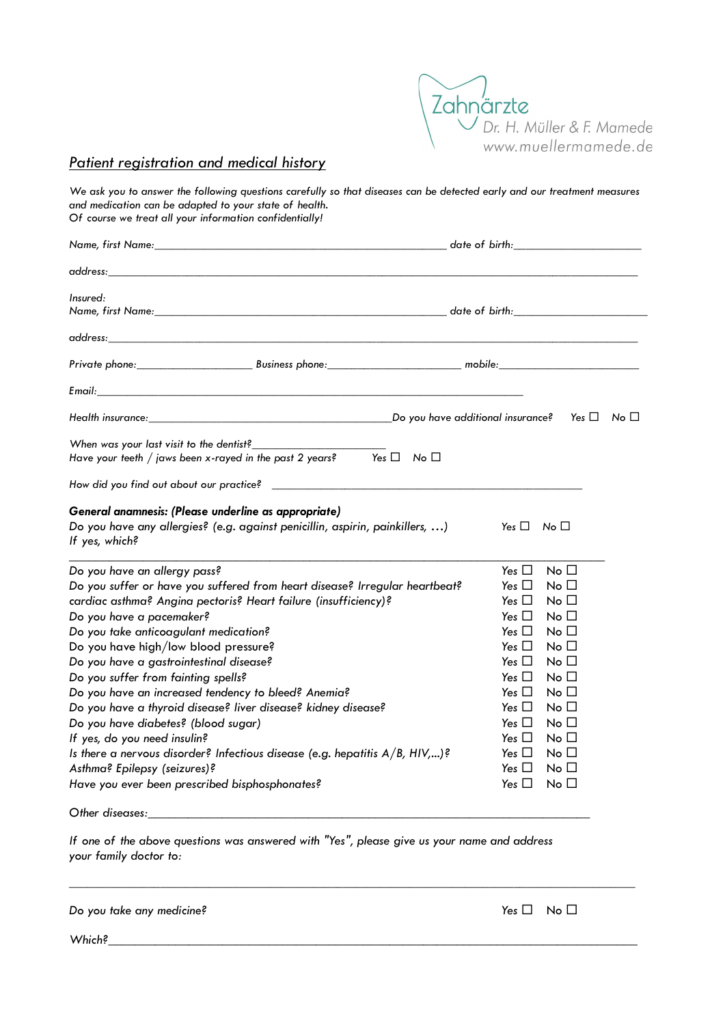

## Patient registration and medical history

We ask you to answer the following questions carefully so that diseases can be detected early and our treatment measures and medication can be adapted to your state of health. Of course we treat all your information confidentially!

| address: the contract of the contract of the contract of the contract of the contract of the contract of the contract of the contract of the contract of the contract of the contract of the contract of the contract of the c                                                                                                                                                                                                                                                                                                                                                                                                                                                                                                                |                                                                                                                                                                                                                                                                                                                                                                                                                                                                                        |
|-----------------------------------------------------------------------------------------------------------------------------------------------------------------------------------------------------------------------------------------------------------------------------------------------------------------------------------------------------------------------------------------------------------------------------------------------------------------------------------------------------------------------------------------------------------------------------------------------------------------------------------------------------------------------------------------------------------------------------------------------|----------------------------------------------------------------------------------------------------------------------------------------------------------------------------------------------------------------------------------------------------------------------------------------------------------------------------------------------------------------------------------------------------------------------------------------------------------------------------------------|
| Insured:                                                                                                                                                                                                                                                                                                                                                                                                                                                                                                                                                                                                                                                                                                                                      |                                                                                                                                                                                                                                                                                                                                                                                                                                                                                        |
|                                                                                                                                                                                                                                                                                                                                                                                                                                                                                                                                                                                                                                                                                                                                               |                                                                                                                                                                                                                                                                                                                                                                                                                                                                                        |
| Private phone: Business phone: Business phone: mobile: mobile: mobile:                                                                                                                                                                                                                                                                                                                                                                                                                                                                                                                                                                                                                                                                        |                                                                                                                                                                                                                                                                                                                                                                                                                                                                                        |
|                                                                                                                                                                                                                                                                                                                                                                                                                                                                                                                                                                                                                                                                                                                                               |                                                                                                                                                                                                                                                                                                                                                                                                                                                                                        |
|                                                                                                                                                                                                                                                                                                                                                                                                                                                                                                                                                                                                                                                                                                                                               |                                                                                                                                                                                                                                                                                                                                                                                                                                                                                        |
| When was your last visit to the dentist?<br>Have your teeth / jaws been x-rayed in the past 2 years? Yes $\square$ No $\square$                                                                                                                                                                                                                                                                                                                                                                                                                                                                                                                                                                                                               |                                                                                                                                                                                                                                                                                                                                                                                                                                                                                        |
|                                                                                                                                                                                                                                                                                                                                                                                                                                                                                                                                                                                                                                                                                                                                               |                                                                                                                                                                                                                                                                                                                                                                                                                                                                                        |
| General anamnesis: (Please underline as appropriate)<br>Do you have any allergies? (e.g. against penicillin, aspirin, painkillers, )<br>If yes, which?                                                                                                                                                                                                                                                                                                                                                                                                                                                                                                                                                                                        | Yes $\Box$ No $\Box$                                                                                                                                                                                                                                                                                                                                                                                                                                                                   |
| Do you have an allergy pass?<br>Do you suffer or have you suffered from heart disease? Irregular heartbeat?<br>cardiac asthma? Angina pectoris? Heart failure (insufficiency)?<br>Do you have a pacemaker?<br>Do you take anticoagulant medication?<br>Do you have high/low blood pressure?<br>Do you have a gastrointestinal disease?<br>Do you suffer from fainting spells?<br>Do you have an increased tendency to bleed? Anemia?<br>Do you have a thyroid disease? liver disease? kidney disease?<br>Do you have diabetes? (blood sugar)<br>If yes, do you need insulin?<br>Is there a nervous disorder? Infectious disease (e.g. hepatitis A/B, HIV,)?<br>Asthma? Epilepsy (seizures)?<br>Have you ever been prescribed bisphosphonates? | Yes $\Box$<br>No <sub>1</sub><br>Yes $\Box$<br>No $\square$<br>Yes $\Box$<br>No $\square$<br>No <sub>1</sub><br>Yes $\Box$<br>Yes $\Box$<br>No <sub>1</sub><br>Yes $\Box$<br>No <sub>1</sub><br>Yes $\Box$<br>No $\square$<br>Yes $\Box$<br>No <sub>1</sub><br>No <sub>1</sub><br>Yes $\Box$<br>Yes $\Box$<br>No $\square$<br>Yes $\Box$<br>No $\square$<br>Yes $\Box$<br>No $\square$<br>Yes $\Box$<br>No <sub>1</sub><br>Yes $\Box$<br>No <sub>1</sub><br>Yes $\Box$<br>No $\square$ |

Other diseases:

If one of the above questions was answered with "Yes", please give us your name and address your family doctor to:

\_\_\_\_\_\_\_\_\_\_\_\_\_\_\_\_\_\_\_\_\_\_\_\_\_\_\_\_\_\_\_\_\_\_\_\_\_\_\_\_\_\_\_\_\_\_\_\_\_\_\_\_\_\_\_\_\_\_\_\_\_\_\_\_\_\_\_\_\_\_\_\_\_\_\_\_\_\_\_\_\_\_\_\_\_\_\_\_\_\_\_\_\_

Do you take any medicine?  $\Box$  No  $\Box$ 

 $Which$